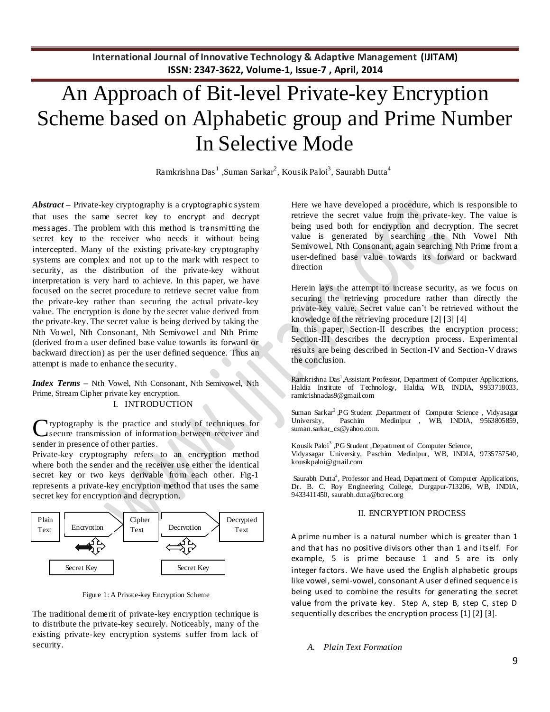# An Approach of Bit-level Private-key Encryption Scheme based on Alphabetic group and Prime Number In Selective Mode

Ramkrishna Das $^1$  ,Suman Sarkar<sup>2</sup>, Kousik Paloi<sup>3</sup>, Saurabh Dutta<sup>4</sup>

*Abstract* **–** Private-key cryptography is a [cryptographic](http://itlaw.wikia.com/wiki/Cryptographic) system that uses the same secret [key](http://itlaw.wikia.com/wiki/Key) to [encrypt](http://itlaw.wikia.com/wiki/Encrypt) and [decrypt](http://itlaw.wikia.com/wiki/Decrypt) [messages](http://itlaw.wikia.com/wiki/Message). The problem with this method is [transmitting](http://itlaw.wikia.com/wiki/Transmit) the secret [key](http://itlaw.wikia.com/wiki/Key) to the receiver who needs it without being [intercepted](http://itlaw.wikia.com/wiki/Intercept). Many of the existing private-key cryptography systems are complex and not up to the mark with respect to security, as the distribution of the private-key without interpretation is very hard to achieve. In this paper, we have focused on the secret procedure to retrieve secret value from the private-key rather than securing the actual private-key value. The encryption is done by the secret value derived from the private-key. The secret value is being derived by taking the Nth Vowel, Nth Consonant, Nth Semivowel and Nth Prime (derived from a user defined base value towards its forward or backward direction) as per the user defined sequence. Thus an attempt is made to enhance the security.

*Index Terms* **–** Nth Vowel, Nth Consonant, Nth Semivowel, Nth Prime, Stream Cipher private key encryption.

I. INTRODUCTION

Cryptography is the practice and study of techniques for secure transmission of information between receiver and secure transmission of information between receiver and sender in presence of other parties.

Private-key cryptography refers to an encryption method where both the sender and the receiver use either the identical secret key or two keys derivable from each other. Fig-1 represents a private-key encryption method that uses the same secret key for encryption and decryption.



Figure 1: A Private-key Encryption Scheme

The traditional demerit of private-key encryption technique is to distribute the private-key securely. Noticeably, many of the existing private-key encryption systems suffer from lack of security.

Here we have developed a procedure, which is responsible to retrieve the secret value from the private-key. The value is being used both for encryption and decryption. The secret value is generated by searching the Nth Vowel Nth Semivowel, Nth Consonant, again searching Nth Prime from a user-defined base value towards its forward or backward direction

Herein lays the attempt to increase security, as we focus on securing the retrieving procedure rather than directly the private-key value. Secret value can't be retrieved without the knowledge of the retrieving procedure [2] [3] [4]

In this paper, Section-II describes the encryption process; Section-III describes the decryption process. Experimental results are being described in Section-IV and Section-V draws the conclusion.

Ramkrishna Das<sup>1</sup>, Assistant Professor, Department of Computer Applications, Haldia Institute of Technology, Haldia, WB, INDIA, 9933718033, ramkrishnadas9@gmail.com

Suman Sarkar<sup>2</sup>, PG Student ,Department of Computer Science, Vidyasagar University, Paschim Medinipur , WB, INDIA, 9563805859, suman.sarkar\_cs@yahoo.com.

Kousik Paloi<sup>3</sup>, PG Student , Department of Computer Science, Vidyasagar University, Paschim Medinipur, WB, INDIA, 9735757540, kousikpaloi@gmail.com

Saurabh Dutta<sup>4</sup>, Professor and Head, Department of Computer Applications, Dr. B. C. Roy Engineering College, Durgapur-713206, WB, INDIA, 9433411450[, saurabh.dutta@bcrec.org](mailto:saurabh.dutta@bcrec.org)

## II. ENCRYPTION PROCESS

A prime number is a natural number which is greater than 1 and that has no positive [divisors](http://en.wikipedia.org/wiki/Divisor) other than 1 and itself. For example, 5 is prime because 1 and 5 are its only integer [factors.](http://en.wikipedia.org/wiki/Factorization) We have used the English alphabetic groups like vowel, semi-vowel, consonant A user defined sequenc e is being used to combine the results for generating the secret value from the private key. Step A, step B, step C, step D sequentially describes the encryption process [1] [2] [3].

## *A. Plain Text Formation*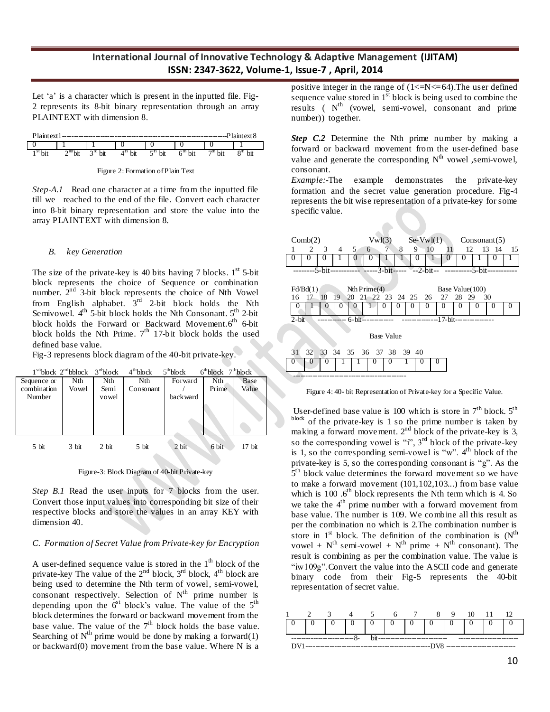Let 'a' is a character which is present in the inputted file. Fig-2 represents its 8-bit binary representation through an array PLAINTEXT with dimension 8.

| $Plaintey^*$ |                                   |                   |    |     |    | -----           | at ext 8 |
|--------------|-----------------------------------|-------------------|----|-----|----|-----------------|----------|
|              |                                   |                   |    |     |    |                 |          |
|              | $\gamma$ nd <sub>1-2</sub><br>JIL | $\gamma$ iu<br>υĸ | υĸ | bit | υn | 70 <sub>1</sub> | bit      |

Figure 2: Formation of Plain Text

*Step-A.1* Read one character at a time from the inputted file till we reached to the end of the file. Convert each character into 8-bit binary representation and store the value into the array PLAINTEXT with dimension 8.

#### *B. key Generation*

The size of the private-key is 40 bits having 7 blocks.  $1<sup>st</sup>$  5-bit block represents the choice of Sequence or combination number.  $2<sup>nd</sup>$  3-bit block represents the choice of Nth Vowel from English alphabet.  $3<sup>rd</sup>$  2-bit block holds the Nth Semivowel.  $4^{\text{th}}$  5-bit block holds the Nth Consonant.  $5^{\text{th}}$  2-bit block holds the Forward or Backward Movement.6<sup>th</sup> 6-bit block holds the Nth Prime.  $7<sup>th</sup>$  17-bit block holds the used defined base value.

Fig-3 represents block diagram of the 40-bit private-key.

|             |         |         | $1^{st}$ block $2^{nd}$ bblock $3^{st}$ block $4^{th}$ block $5^{th}$ block |          | $6^{\text{th}}$ block $7^{\text{th}}$ block |        |
|-------------|---------|---------|-----------------------------------------------------------------------------|----------|---------------------------------------------|--------|
| Sequence or | Nth     | Nth     | Nth                                                                         | Forward  | Nth                                         | Base   |
| combination | Vowel   | Semi    | Consonant                                                                   |          | Prime                                       | Value  |
| Number      |         | vowel   |                                                                             | backward |                                             |        |
|             |         |         |                                                                             |          |                                             |        |
|             |         |         |                                                                             |          |                                             |        |
|             |         |         |                                                                             |          |                                             |        |
|             |         |         |                                                                             |          |                                             |        |
|             |         |         |                                                                             |          |                                             |        |
| 5 bit       | $3$ bit | $2$ bit | 5 bit                                                                       | $2$ bit  | 6 bit                                       | 17 bit |

Figure-3: Block Diagram of 40-bit Private-key

*Step B.1* Read the user inputs for 7 blocks from the user. Convert those input values into corresponding bit size of their respective blocks and store the values in an array KEY with dimension 40.

#### *C. Formation of Secret Value from Private-key for Encryption*

A user-defined sequence value is stored in the  $1<sup>th</sup>$  block of the private-key The value of the  $2<sup>nd</sup>$  block,  $3<sup>rd</sup>$  block,  $4<sup>th</sup>$  block are being used to determine the Nth term of vowel, semi-vowel, consonant respectively. Selection of  $N<sup>th</sup>$  prime number is depending upon the  $6<sup>st</sup>$  block's value. The value of the  $5<sup>th</sup>$ block determines the forward or backward movement from the base value. The value of the  $7<sup>th</sup>$  block holds the base value. Searching of  $N^{th}$  prime would be done by making a forward(1) or backward(0) movement from the base value. Where N is a

positive integer in the range of  $(1\le N\le 64)$ . The user defined sequence value stored in  $1<sup>st</sup>$  block is being used to combine the results ( $N<sup>th</sup>$  (vowel, semi-vowel, consonant and prime number)) together.

*Step C.2* Determine the Nth prime number by making a forward or backward movement from the user-defined base value and generate the corresponding  $N<sup>th</sup>$  vowel, semi-vowel, consonant.

*Example:*-The example demonstrates the private-key formation and the secret value generation procedure. Fig-4 represents the bit wise representation of a private-key for some specific value.

| Comb(2)                                                        | Vwl(3)                        | $Se-Vwl(1)$                       | Consonant(5)       |    |  |  |  |  |  |  |  |
|----------------------------------------------------------------|-------------------------------|-----------------------------------|--------------------|----|--|--|--|--|--|--|--|
| 2<br>3<br>5 <sup>7</sup><br>4                                  | $7\overline{ }$<br>8<br>6     | 9<br>10<br>11                     | 12<br>13<br>-14    | 15 |  |  |  |  |  |  |  |
| $\theta$<br>$\mathbf{0}$<br>$^{(1)}$<br>$\theta$               |                               | 0                                 | $\mathbf{0}$       |    |  |  |  |  |  |  |  |
| - -----3-bit----- --2-bit-- -----------5-bit-<br>-------5-bit- |                               |                                   |                    |    |  |  |  |  |  |  |  |
|                                                                |                               |                                   |                    |    |  |  |  |  |  |  |  |
| $Fd\prime Bd(1)$                                               | Nth Prime(4)                  |                                   | Base Value(100)    |    |  |  |  |  |  |  |  |
| 18<br>19<br>16<br>17                                           | 20 21 22 23 24 25 26 27 28 29 |                                   | 30                 |    |  |  |  |  |  |  |  |
| $\cup$<br>0<br>0                                               | $^{(1)}$                      | $\mathbf{\Omega}$<br>$\mathbf{U}$ | $_{0}$<br>$\theta$ |    |  |  |  |  |  |  |  |
| $2-bit$                                                        | $6-bit$ ----------            | $------17-bit-$                   |                    |    |  |  |  |  |  |  |  |
|                                                                |                               |                                   |                    |    |  |  |  |  |  |  |  |
|                                                                | <b>Base Value</b>             |                                   |                    |    |  |  |  |  |  |  |  |
| 32<br>31<br>$33 \quad 34$                                      | 35 36 37 38 39 40             |                                   |                    |    |  |  |  |  |  |  |  |



0 0 0 1 1 0 0 1 0 0

-----------------------------------------------

User-defined base value is 100 which is store in  $7<sup>th</sup>$  block.  $5<sup>th</sup>$ block of the private-key is 1 so the prime number is taken by making a forward movement.  $2<sup>nd</sup>$  block of the private-key is 3, so the corresponding vowel is "i",  $3<sup>rd</sup>$  block of the private-key is 1, so the corresponding semi-vowel is " $w$ ".  $4<sup>th</sup>$  block of the private-key is 5, so the corresponding consonant is "g". As the 5<sup>th</sup> block value determines the forward movement so we have to make a forward movement (101,102,103...) from base value which is  $100 \text{ } .6^{\text{th}}$  block represents the Nth term which is 4. So we take the 4<sup>th</sup> prime number with a forward movement from base value. The number is 109. We combine all this result as per the combination no which is 2.The combination number is store in  $1<sup>st</sup>$  block. The definition of the combination is  $(N<sup>th</sup>$ vowel +  $N^{th}$  semi-vowel +  $N^{th}$  prime +  $N^{th}$  consonant). The result is combining as per the combination value. The value is "iw109g".Convert the value into the ASCII code and generate binary code from their Fig-5 represents the 40-bit representation of secret value.

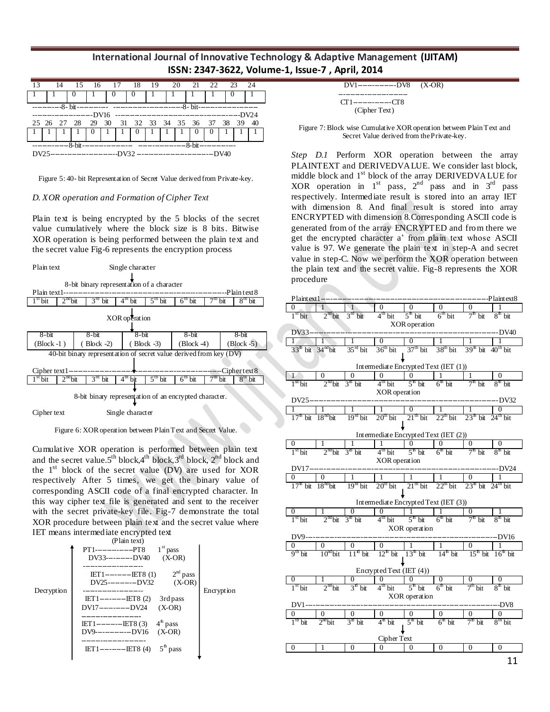|  |  | 14 15 16 17 18 19 20 21 22 23 24                                    |  |  |  |  |  |  |  |  |                                   |  |  |
|--|--|---------------------------------------------------------------------|--|--|--|--|--|--|--|--|-----------------------------------|--|--|
|  |  |                                                                     |  |  |  |  |  |  |  |  |                                   |  |  |
|  |  |                                                                     |  |  |  |  |  |  |  |  |                                   |  |  |
|  |  |                                                                     |  |  |  |  |  |  |  |  |                                   |  |  |
|  |  | 25 26 27 28 29 30 31 32 33 34 35 36 37 38 39 40                     |  |  |  |  |  |  |  |  |                                   |  |  |
|  |  | $\begin{array}{c c c c c c c} \hline 1 & 0 & 1 & 1 & 0 \end{array}$ |  |  |  |  |  |  |  |  | $\begin{bmatrix} 0 \end{bmatrix}$ |  |  |
|  |  |                                                                     |  |  |  |  |  |  |  |  |                                   |  |  |
|  |  |                                                                     |  |  |  |  |  |  |  |  |                                   |  |  |
|  |  |                                                                     |  |  |  |  |  |  |  |  |                                   |  |  |

Figure 5: 40- bit Representation of Secret Value derived from Private-key.

#### *D. XOR operation and Formation of Cipher Text*

Plain text is being encrypted by the 5 blocks of the secret value cumulatively where the block size is 8 bits. Bitwise XOR operation is being performed between the plain text and the secret value Fig-6 represents the encryption process

| Plain text<br>Single character |                                                                                                           |  |                        |                 |                         |                                |                 |                                |                   |                   |                                   |  |
|--------------------------------|-----------------------------------------------------------------------------------------------------------|--|------------------------|-----------------|-------------------------|--------------------------------|-----------------|--------------------------------|-------------------|-------------------|-----------------------------------|--|
|                                | 8-bit binary representation of a character                                                                |  |                        |                 |                         |                                |                 |                                |                   |                   |                                   |  |
| -Plain text 8<br>Plain text1-  |                                                                                                           |  |                        |                 |                         |                                |                 |                                |                   |                   |                                   |  |
| $1st$ bit                      | $2nd$ bit                                                                                                 |  | 3 <sup>rd</sup><br>bit | 4 <sup>th</sup> | bit                     | $5th$ bit                      |                 | $\overline{6}^{\text{th}}$ bit |                   | <sup>th</sup> bit | $8th$ bit                         |  |
| XOR operation                  |                                                                                                           |  |                        |                 |                         |                                |                 |                                |                   |                   |                                   |  |
| $8 - bit$                      |                                                                                                           |  | $8 - bit$              |                 | $8 - bit$               |                                |                 | $8 - bit$                      |                   |                   | $8-bit$                           |  |
| $(Block -1)$                   |                                                                                                           |  | Block $-2$ )           |                 |                         | $(Block -3)$                   |                 | $(Block-4)$                    |                   |                   | $\left( \text{Block } -5 \right)$ |  |
|                                | 40-bit binary representation of secret value derived from key (DV)<br>-----Ciphertext8<br>$Cipher text1-$ |  |                        |                 |                         |                                |                 |                                |                   |                   |                                   |  |
| $1st$ bit                      | $2nd$ bit                                                                                                 |  | 3 <sup>rd</sup><br>bit |                 | $\overline{4^{th}}$ bit | $\overline{5}^{\text{th}}$ bit | 6 <sup>th</sup> | <b>bit</b>                     | <sup>th</sup> bit |                   | 8 <sup>m</sup><br>bit             |  |
|                                |                                                                                                           |  |                        |                 |                         |                                |                 |                                |                   |                   |                                   |  |

8-bit binary representation of an encrypted character.

Cipher text Single character

Figure 6: XOR operation between Plain Text and Secret Value.

Cumulative XOR operation is performed between plain text and the secret value.5<sup>th</sup> block,4<sup>th</sup> block,3<sup>rd</sup> block, 2<sup>nd</sup> block and the  $1<sup>st</sup>$  block of the secret value (DV) are used for XOR respectively After 5 times, we get the binary value of corresponding ASCII code of a final encrypted character. In this way cipher text file is generated and sent to the receiver with the secret private-key file. Fig-7 demonstrate the total XOR procedure between plain text and the secret value where IET means intermediate encrypted text

|            | (Plain text)                                                           |            |
|------------|------------------------------------------------------------------------|------------|
|            | $1st$ pass<br>$PT1$ ------------PT8<br>$(X-OR)$<br>$DV33$ --------DV40 |            |
|            | $2nd$ pass<br>$E[T]$ -------ET8(1)<br>$(X-OR)$<br>$DV25$ --------DV32  |            |
| Decryption | $IET1$ ---------- $IET8(2)$<br>3rd pass                                | Encryption |
|            | DV17----------DV24<br>$(X-OR)$                                         |            |
|            | $DV9$ -----------DV16<br>$(X-OR)$                                      |            |
|            |                                                                        |            |
|            |                                                                        |            |

| $DV1$ -----------DV8 $(X-OR)$         |  |
|---------------------------------------|--|
| $CT1$ -----------CT8<br>(Cipher Text) |  |

Figure 7: Block wise Cumulative XOR operation between Plain Text and Secret Value derived from the Private-key.

*Step D.1* Perform XOR operation between the array PLAINTEXT and DERIVEDVALUE. We consider last block, middle block and  $1<sup>st</sup>$  block of the array DERIVEDVALUE for XOR operation in  $1<sup>st</sup>$  pass,  $2<sup>nd</sup>$  pass and in  $3<sup>rd</sup>$  pass respectively. Intermediate result is stored into an array IET with dimension 8. And final result is stored into array ENCRYPTED with dimension 8.Corresponding ASCII code is generated from of the array ENCRYPTED and from there we get the encrypted character a' from plain text whose ASCII value is 97. We generate the plain text in step-A and secret value in step-C. Now we perform the XOR operation between the plain text and the secret value. Fig-8 represents the XOR procedure

|                     | Plaintext1             |                      |                  |                                       |                       |                     |                       | -Plaintext8               |  |  |
|---------------------|------------------------|----------------------|------------------|---------------------------------------|-----------------------|---------------------|-----------------------|---------------------------|--|--|
|                     |                        |                      |                  |                                       | 0                     | $\frac{0}{6}$ bit   |                       |                           |  |  |
| 1 <sup>st</sup> bit |                        | $2^{nd}$ bit         | $3rd$ bit        | 4 <sup>th</sup> bit                   | $5th$ bit             |                     | $7th$ bit             | $8th$ bit                 |  |  |
|                     |                        |                      |                  |                                       | XOR operation         |                     |                       |                           |  |  |
| DV33-               |                        |                      |                  |                                       |                       |                     |                       | <b>DV40</b>               |  |  |
|                     |                        |                      |                  | 0                                     | 0                     |                     |                       |                           |  |  |
| $33th$ bit          |                        | 34 <sup>nd</sup> bit | $35rd$ bit       | $36th$ bit                            | $37th$ bit            | $38th$ bit          | $39th$ bit $40th$ bit |                           |  |  |
|                     |                        |                      |                  | Intermediate Encrypted Text (IET (1)) |                       |                     |                       |                           |  |  |
|                     |                        |                      | 0                | $\boldsymbol{0}$                      | $\Omega$              |                     |                       | $\Omega$                  |  |  |
| $1st$ bit           |                        | $2nd$ bit            | $3rl$ bit        | 4 <sup>th</sup> bit                   | $5^{\text{th}}$ bit   | $6th$ bit           | $7th$ bit             | $8th$ bit                 |  |  |
|                     |                        |                      |                  | XOR operation                         |                       |                     |                       |                           |  |  |
| DV25-               |                        |                      |                  |                                       |                       |                     |                       | <b>DV32</b>               |  |  |
|                     |                        |                      |                  |                                       | 0                     |                     |                       |                           |  |  |
| $17th$ bit          |                        | $18nd$ bit           | $19rd$ bit       | $20th$ bit                            | $21th$ bit            | $22th$ bit          | $23th$ bit            | $24th$ bit                |  |  |
|                     |                        |                      |                  |                                       |                       |                     |                       |                           |  |  |
|                     |                        |                      |                  | Intermediate Encrypted Text (IET (2)) |                       |                     |                       |                           |  |  |
|                     |                        |                      |                  | 1                                     | $\overline{0}$        | 0                   | 0                     | $\mathbf{0}$<br>$8th$ bit |  |  |
| 1 <sup>st</sup> bit |                        | $2nd$ bit            | $3rt$ bit        | 4 <sup>th</sup> bit                   | $5th$ bit             | $6th$ bit           | $7th$ bit             |                           |  |  |
|                     | XOR operation<br>DV17- |                      |                  |                                       |                       |                     |                       |                           |  |  |
|                     |                        |                      |                  |                                       |                       |                     |                       |                           |  |  |
|                     |                        |                      |                  |                                       |                       |                     |                       |                           |  |  |
|                     |                        |                      |                  | 1                                     |                       |                     | 0                     |                           |  |  |
| $17th$ bit          |                        | $18nd$ bit           | $19rd$ bit       | $20th$ bit                            | $21th$ bit            | $22th$ bit          | $23th$ bit            | $24th$ bit                |  |  |
|                     |                        |                      |                  | Intermediate Encrypted Text (IET (3)) |                       |                     |                       |                           |  |  |
|                     |                        |                      | 0                | $\overline{0}$                        |                       |                     | 0                     |                           |  |  |
| $1st$ bit           |                        | $2nd$ bit            | $3rt$ bit        | $4th$ bit                             | $5^{\mathrm{th}}$ bit | 6 <sup>th</sup> bit | $7th$ bit             | $8th$ bit                 |  |  |
|                     |                        |                      |                  |                                       | XOR operation         |                     |                       |                           |  |  |
| DV9-                |                        |                      |                  |                                       |                       |                     |                       |                           |  |  |
|                     |                        | 0                    | $\boldsymbol{0}$ | $\boldsymbol{0}$                      |                       |                     | 0                     |                           |  |  |
| $9th$ bit           |                        | $10nd$ bit           | $11^{x}$ bit     | $12th$ bit                            | $13th$ bit            | $14th$ bit          | $15th$ bit            | $16th$ bit                |  |  |
|                     |                        |                      |                  |                                       |                       |                     |                       |                           |  |  |
|                     |                        |                      | $\overline{0}$   | Encrypted Text (IET (4))<br>0         | 0                     | $\overline{0}$      |                       |                           |  |  |
| $1st$ bit           |                        | $2nd$ bit            | $3rt$ bit        | $4th$ bit                             | $5th$ bit             | $6th$ bit           | $7th$ bit             | $8th$ bit                 |  |  |
|                     |                        |                      |                  |                                       | XOR operation         |                     |                       |                           |  |  |
| DV1--               |                        |                      |                  |                                       |                       |                     |                       |                           |  |  |
|                     |                        | $\boldsymbol{0}$     | $\boldsymbol{0}$ | $\boldsymbol{0}$                      | 0                     | $\boldsymbol{0}$    | $\boldsymbol{0}$      | 0                         |  |  |
| $1th$ bit           |                        | $2nd$ bit            | $3rt$ bit        | $4th$ bit                             | $5^{\text{th}}$ bit   | $6th$ bit           | $7th$ bit             | $8th$ bit                 |  |  |
|                     |                        |                      |                  |                                       |                       |                     |                       |                           |  |  |
| $\overline{0}$      |                        | 1                    | $\overline{0}$   | Cipher Text<br>$\boldsymbol{0}$       | $\boldsymbol{0}$      | $\overline{0}$      | $\mathbf{0}$          | $\overline{0}$            |  |  |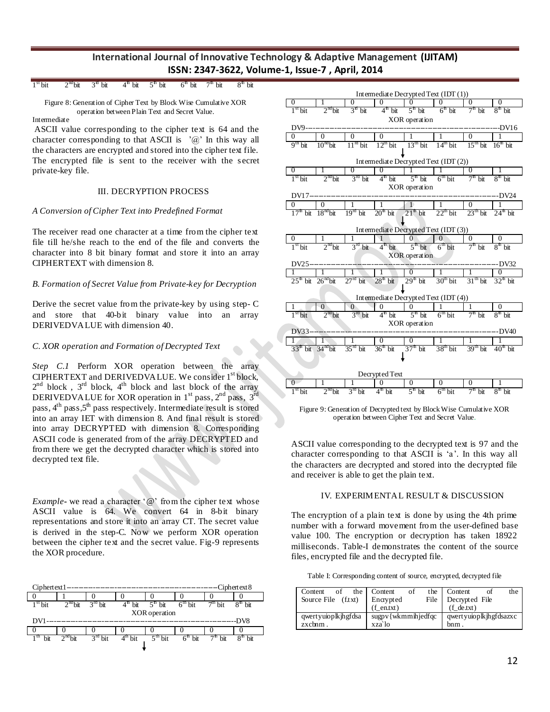| $1^{\text{st}}$ bit $2^{\text{nd}}$ bit $3^{\text{st}}$ bit $4^{\text{th}}$ bit $5^{\text{th}}$ bit $6^{\text{th}}$ bit $7^{\text{th}}$ bit $8^{\text{th}}$ bit |  |  |
|-----------------------------------------------------------------------------------------------------------------------------------------------------------------|--|--|
|-----------------------------------------------------------------------------------------------------------------------------------------------------------------|--|--|

Figure 8: Generation of Cipher Text by Block Wise Cumulative XOR operation between Plain Text and Secret Value. Intermediate

ASCII value corresponding to the cipher text is 64 and the character corresponding to that ASCII is  $\partial$  ' $\partial$ ' In this way all the characters are encrypted and stored into the cipher text file. The encrypted file is sent to the receiver with the secret private-key file.

## III. DECRYPTION PROCESS

## *A Conversion of Cipher Text into Predefined Format*

The receiver read one character at a time from the cipher text file till he/she reach to the end of the file and converts the character into 8 bit binary format and store it into an array CIPHERTEXT with dimension 8.

## *B. Formation of Secret Value from Private-key for Decryption*

Derive the secret value from the private-key by using step- C and store that 40-bit binary value into an array DERIVEDVALUE with dimension 40.

## *C. XOR operation and Formation of Decrypted Text*

*Step C.1* Perform XOR operation between the array CIPHERTEXT and DERIVEDVALUE. We consider 1<sup>st</sup> block,  $2<sup>nd</sup>$  block,  $3<sup>rd</sup>$  block,  $4<sup>th</sup>$  block and last block of the array DERIVEDVALUE for XOR operation in  $1<sup>st</sup>$  pass,  $2<sup>nd</sup>$  pass,  $3<sup>rd</sup>$ pass, 4<sup>th</sup> pass, 5<sup>th</sup> pass respectively. Intermediate result is stored into an array IET with dimension 8. And final result is stored into array DECRYPTED with dimension 8. Corresponding ASCII code is generated from of the array DECRYPTED and from there we get the decrypted character which is stored into decrypted text file.

*Example* - we read a character '@' from the cipher text whose ASCII value is 64. We convert 64 in 8-bit binary representations and store it into an array CT. The secret value is derived in the step-C. Now we perform XOR operation between the cipher text and the secret value. Fig-9 represents the XOR procedure.

| Ciphertext1-<br>$-Ciphertext 8$ |  |           |                     |                       |                                                               |                 |  |  |  |  |  |
|---------------------------------|--|-----------|---------------------|-----------------------|---------------------------------------------------------------|-----------------|--|--|--|--|--|
|                                 |  |           |                     |                       |                                                               |                 |  |  |  |  |  |
| $2nd$ hit                       |  |           | $5^{\text{th}}$ bit | $6th$ bit             | $7th$ hit                                                     | $8^{\rm m}$ bit |  |  |  |  |  |
| XOR operation                   |  |           |                     |                       |                                                               |                 |  |  |  |  |  |
|                                 |  |           |                     |                       |                                                               | -DV8            |  |  |  |  |  |
|                                 |  |           |                     |                       |                                                               |                 |  |  |  |  |  |
|                                 |  |           |                     |                       | $7th$ bit                                                     | bit             |  |  |  |  |  |
|                                 |  | $3nd$ bit |                     | $4^{\mathrm{th}}$ bit | $3rd$ bit<br>$2nd$ hit<br>$5th$ bit<br>$6th$ bit<br>$4th$ bit |                 |  |  |  |  |  |



Figure 9: Generation of Decrypted text by Block Wise Cumulative XOR operation between Cipher Text and Secret Value.

ASCII value corresponding to the decrypted text is 97 and the character corresponding to that ASCII is 'a'. In this way all the characters are decrypted and stored into the decrypted file and receiver is able to get the plain text.

#### IV. EXPERIMENTAL RESULT & DISCUSSION

The encryption of a plain text is done by using the 4th prime number with a forward movement from the user-defined base value 100. The encryption or decryption has taken 18922 milliseconds. Table-I demonstrates the content of the source files, encrypted file and the decrypted file.

| of<br>Content       | the Content                              | of | the  | Content                | the |
|---------------------|------------------------------------------|----|------|------------------------|-----|
| Source File (f.txt) | Encrypted                                |    | File | Decrypted File         |     |
|                     | $(f$ en.txt)                             |    |      | $(f \text{det} x)$     |     |
| qwertyuioplkjhgfdsa | $\text{supp}\sqrt{\text{wkm}}$ mihjedfqc |    |      | qwertyuioplkjhgfdsazxc |     |
| $zxchm$ .           | xza`lo                                   |    |      | $b$ nm.                |     |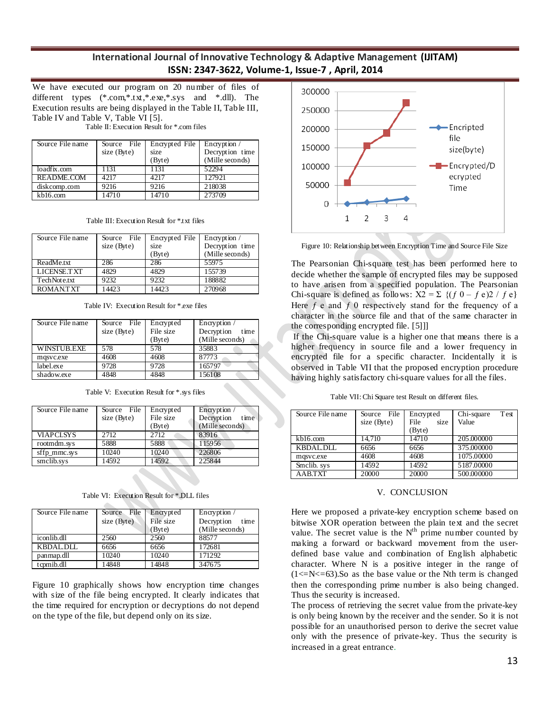We have executed our program on 20 number of files of different types (\*.com,\*.txt,\*.exe,\*.sys and \*.dll). The Execution results are being displayed in the Table II, Table III, Table IV and Table V, Table VI [5].

Table II: Execution Result for \*.com files

| Source File name | Source File | Encrypted File | Encryption /    |
|------------------|-------------|----------------|-----------------|
|                  | size (Byte) | size           | Decryption time |
|                  |             | (Byte)         | (Mille seconds) |
| loadfix.com      | 1131        | 1131           | 52294           |
| README.COM       | 4217        | 4217           | 127921          |
| diskcomp.com     | 9216        | 9216           | 218038          |
| kb16.com         | 14710       | 14710          | 273709          |

Table III: Execution Result for \*.txt files

| Source File name   | Source File<br>size (Byte) | Encrypted File<br>size<br>(Byte) | Encryption /<br>Decryption time<br>(Mille seconds) |
|--------------------|----------------------------|----------------------------------|----------------------------------------------------|
| ReadMe.txt         | 286                        | 286                              | 55975                                              |
| <b>LICENSE.TXT</b> | 4829                       | 4829                             | 155739                                             |
| TechNote.txt       | 9232                       | 9232                             | 188882                                             |
| ROMAN.TXT          | 14423                      | 14423                            | 270968                                             |

Table IV: Execution Result for \*.exe files

| Source File name   | Source File | Encrypted | Encryption /       |
|--------------------|-------------|-----------|--------------------|
|                    | size (Byte) | File size | Decryption<br>time |
|                    |             | (Byte)    | (Mille seconds)    |
| <b>WINSTUB.EXE</b> | 578         | 578       | 35883              |
| mqsvc.exe          | 4608        | 4608      | 87773              |
| label.exe          | 9728        | 9728      | 165797             |
| shadow.exe         | 4848        | 4848      | 156108             |

| Table V: Execution Result for *.sys files |  |
|-------------------------------------------|--|
|-------------------------------------------|--|

| Source File name | Source File | Encrypted | Encryption /       |
|------------------|-------------|-----------|--------------------|
|                  | size (Byte) | File size | Decryption<br>time |
|                  |             | (Byte)    | (Mille seconds)    |
| <b>VIAPCLSYS</b> | 2712        | 2.712     | 83916              |
| rootmdm.sys      | 5888        | 5888      | 115956             |
| sffp_mmc.sys     | 10240       | 10240     | 226806             |
| smclib.sys       | 14592       | 14592     | 225844             |

Table VI: Execution Result for \*.DLL files

| Source File name | File<br>Source | Encrypted | Encryption /       |
|------------------|----------------|-----------|--------------------|
|                  | size (Byte)    | File size | Decryption<br>time |
|                  |                | (Byte)    | (Mille seconds)    |
| iconlib.dll      | 2560           | 2560      | 88577              |
| <b>KBDAL.DLL</b> | 6656           | 6656      | 172681             |
| panmap.dll       | 10240          | 10240     | 171292             |
| tcpmib.dll       | 14848          | 14848     | 347675             |

Figure 10 graphically shows how encryption time changes with size of the file being encrypted. It clearly indicates that the time required for encryption or decryptions do not depend on the type of the file, but depend only on its size.



Figure 10: Relationship between Encryption Time and Source File Size

The Pearsonian Chi-square test has been performed here to decide whether the sample of encrypted files may be supposed to have arisen from a specified population. The Pearsonian Chi-square is defined as follows:  $X2 = \sum \{(f\ 0 - f\ e)\}$  /  $f\ e$ } Here  $f$  e and  $f$  0 respectively stand for the frequency of a character in the source file and that of the same character in the corresponding encrypted file. [5]]]

If the Chi-square value is a higher one that means there is a higher frequency in source file and a lower frequency in encrypted file for a specific character. Incidentally it is observed in Table VII that the proposed encryption procedure having highly satisfactory chi-square values for all the files.

Table VII: Chi Square test Result on different files.

| Source File name | Source File<br>size (Byte) | Encrypted<br>File<br>size<br>(Byte) | Test<br>Chi-square<br>Value |
|------------------|----------------------------|-------------------------------------|-----------------------------|
| kb16.com         | 14.710                     | 14710                               | 205,000000                  |
|                  |                            |                                     |                             |
| <b>KBDAL.DLL</b> | 6656                       | 6656                                | 375,000000                  |
| mqsvc.exe        | 4608                       | 4608                                | 1075.00000                  |
| Smclib. sys      | 14592                      | 14592                               | 5187.00000                  |
| <b>AABTXT</b>    | 20000                      | 20000                               | 500.000000                  |

#### V. CONCLUSION

Here we proposed a private-key encryption scheme based on bitwise XOR operation between the plain text and the secret value. The secret value is the  $N<sup>th</sup>$  prime number counted by making a forward or backward movement from the userdefined base value and combination of English alphabetic character. Where N is a positive integer in the range of  $(1\le N\le 63)$ . So as the base value or the Nth term is changed then the corresponding prime number is also being changed. Thus the security is increased.

The process of retrieving the secret value from the private-key is only being known by the receiver and the sender. So it is not possible for an unauthorised person to derive the secret value only with the presence of private-key. Thus the security is increased in a great entrance.